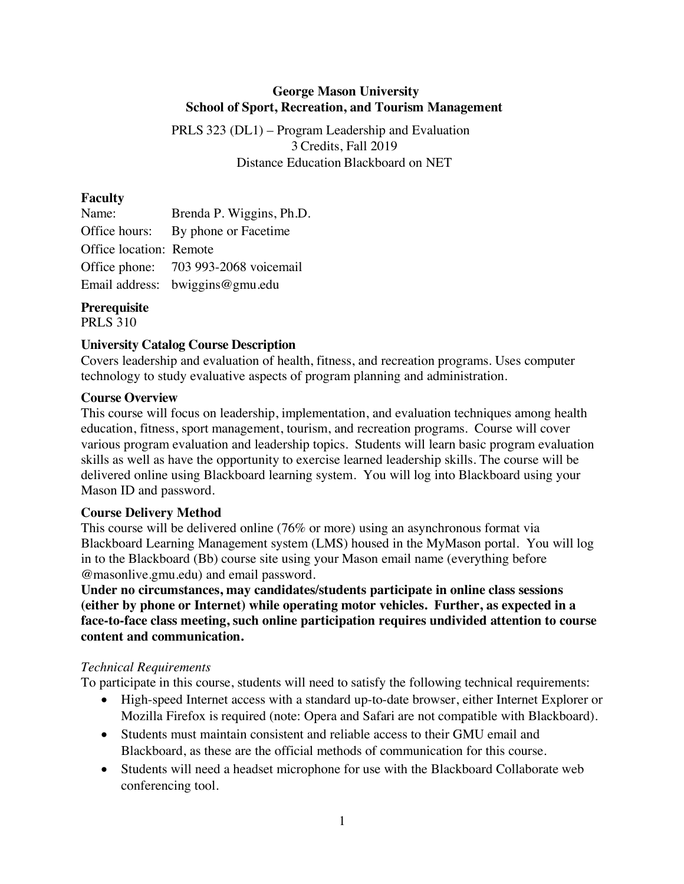# **George Mason University School of Sport, Recreation, and Tourism Management**

PRLS 323 (DL1) – Program Leadership and Evaluation 3 Credits, Fall 2019 Distance Education Blackboard on NET

### **Faculty**

| Name:                   | Brenda P. Wiggins, Ph.D.             |
|-------------------------|--------------------------------------|
|                         | Office hours: By phone or Facetime   |
| Office location: Remote |                                      |
|                         | Office phone: 703 993-2068 voicemail |
|                         | Email address: bwiggins@gmu.edu      |

# **Prerequisite**

PRLS 310

## **University Catalog Course Description**

Covers leadership and evaluation of health, fitness, and recreation programs. Uses computer technology to study evaluative aspects of program planning and administration.

## **Course Overview**

This course will focus on leadership, implementation, and evaluation techniques among health education, fitness, sport management, tourism, and recreation programs. Course will cover various program evaluation and leadership topics. Students will learn basic program evaluation skills as well as have the opportunity to exercise learned leadership skills. The course will be delivered online using Blackboard learning system. You will log into Blackboard using your Mason ID and password.

## **Course Delivery Method**

This course will be delivered online (76% or more) using an asynchronous format via Blackboard Learning Management system (LMS) housed in the MyMason portal. You will log in to the Blackboard (Bb) course site using your Mason email name (everything before @masonlive.gmu.edu) and email password.

**Under no circumstances, may candidates/students participate in online class sessions (either by phone or Internet) while operating motor vehicles. Further, as expected in a face-to-face class meeting, such online participation requires undivided attention to course content and communication.**

## *Technical Requirements*

To participate in this course, students will need to satisfy the following technical requirements:

- High-speed Internet access with a standard up-to-date browser, either Internet Explorer or Mozilla Firefox is required (note: Opera and Safari are not compatible with Blackboard).
- Students must maintain consistent and reliable access to their GMU email and Blackboard, as these are the official methods of communication for this course.
- Students will need a headset microphone for use with the Blackboard Collaborate web conferencing tool.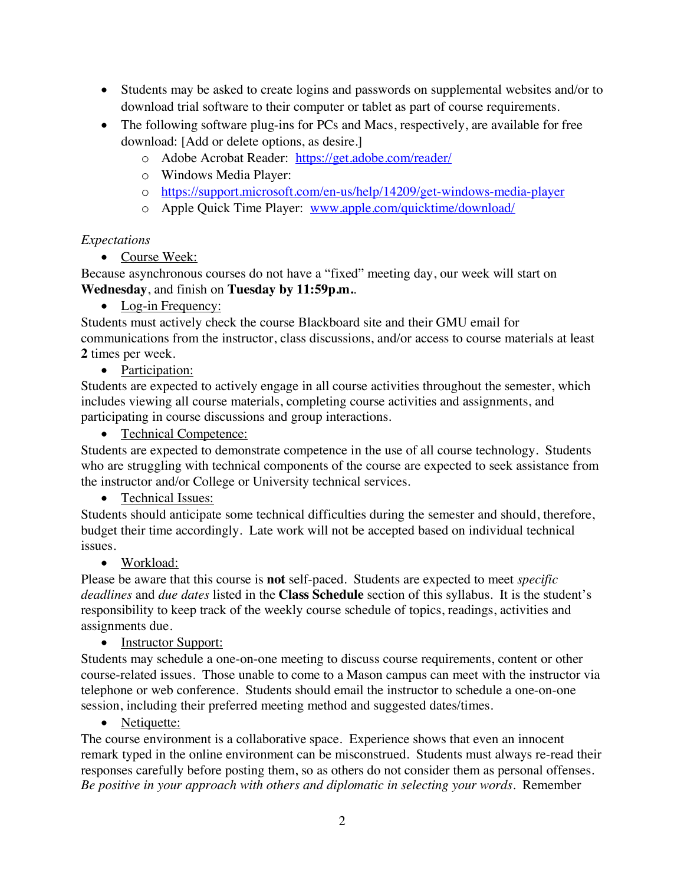- Students may be asked to create logins and passwords on supplemental websites and/or to download trial software to their computer or tablet as part of course requirements.
- The following software plug-ins for PCs and Macs, respectively, are available for free download: [Add or delete options, as desire.]
	- o Adobe Acrobat Reader: https://get.adobe.com/reader/
	- o Windows Media Player:
	- o https://support.microsoft.com/en-us/help/14209/get-windows-media-player
	- o Apple Quick Time Player: www.apple.com/quicktime/download/

#### *Expectations*

• Course Week:

Because asynchronous courses do not have a "fixed" meeting day, our week will start on **Wednesday**, and finish on **Tuesday by 11:59p.m.**.

• Log-in Frequency:

Students must actively check the course Blackboard site and their GMU email for communications from the instructor, class discussions, and/or access to course materials at least **2** times per week.

• Participation:

Students are expected to actively engage in all course activities throughout the semester, which includes viewing all course materials, completing course activities and assignments, and participating in course discussions and group interactions.

• Technical Competence:

Students are expected to demonstrate competence in the use of all course technology. Students who are struggling with technical components of the course are expected to seek assistance from the instructor and/or College or University technical services.

## • Technical Issues:

Students should anticipate some technical difficulties during the semester and should, therefore, budget their time accordingly. Late work will not be accepted based on individual technical issues.

#### • Workload:

Please be aware that this course is **not** self-paced. Students are expected to meet *specific deadlines* and *due dates* listed in the **Class Schedule** section of this syllabus. It is the student's responsibility to keep track of the weekly course schedule of topics, readings, activities and assignments due.

#### • Instructor Support:

Students may schedule a one-on-one meeting to discuss course requirements, content or other course-related issues. Those unable to come to a Mason campus can meet with the instructor via telephone or web conference. Students should email the instructor to schedule a one-on-one session, including their preferred meeting method and suggested dates/times.

#### • Netiquette:

The course environment is a collaborative space. Experience shows that even an innocent remark typed in the online environment can be misconstrued. Students must always re-read their responses carefully before posting them, so as others do not consider them as personal offenses. *Be positive in your approach with others and diplomatic in selecting your words*. Remember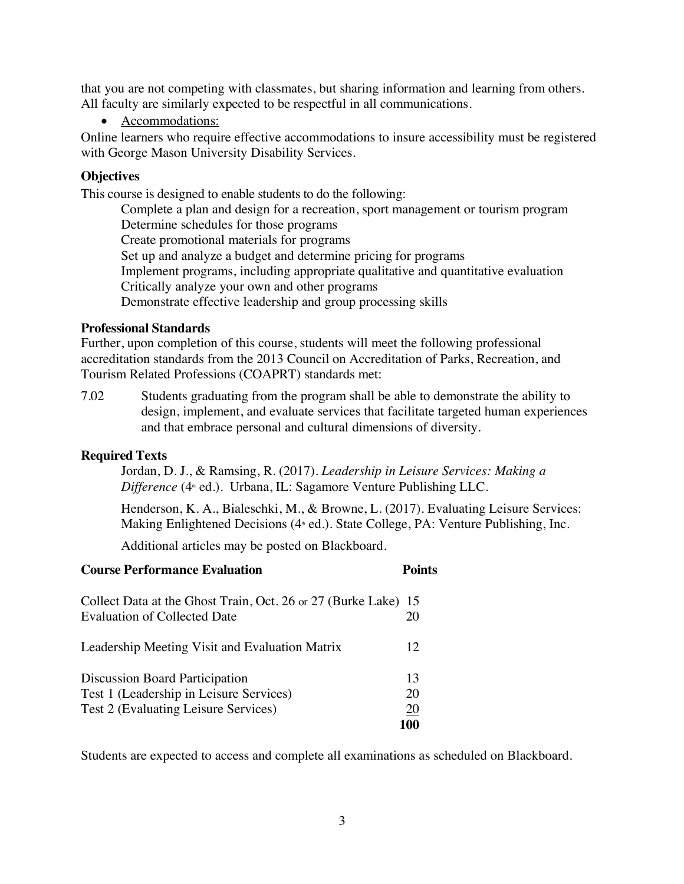that you are not competing with classmates, but sharing information and learning from others. All faculty are similarly expected to be respectful in all communications.

• Accommodations:

Online learners who require effective accommodations to insure accessibility must be registered with George Mason University Disability Services.

#### **Objectives**

This course is designed to enable students to do the following:

Complete a plan and design for a recreation, sport management or tourism program Determine schedules for those programs Create promotional materials for programs Set up and analyze a budget and determine pricing for programs Implement programs, including appropriate qualitative and quantitative evaluation Critically analyze your own and other programs Demonstrate effective leadership and group processing skills

#### **Professional Standards**

Further, upon completion of this course, students will meet the following professional accreditation standards from the 2013 Council on Accreditation of Parks, Recreation, and Tourism Related Professions (COAPRT) standards met:

7.02 Students graduating from the program shall be able to demonstrate the ability to design, implement, and evaluate services that facilitate targeted human experiences and that embrace personal and cultural dimensions of diversity.

#### **Required Texts**

Jordan, D. J., & Ramsing, R. (2017). *Leadership in Leisure Services: Making a Difference* (4<sup>th</sup> ed.). Urbana, IL: Sagamore Venture Publishing LLC.

Henderson, K. A., Bialeschki, M., & Browne, L. (2017). Evaluating Leisure Services: Making Enlightened Decisions (4<sup>th</sup> ed.). State College, PA: Venture Publishing, Inc.

Additional articles may be posted on Blackboard.

| <b>Course Performance Evaluation</b>                                                                                     | <b>Points</b>         |
|--------------------------------------------------------------------------------------------------------------------------|-----------------------|
| Collect Data at the Ghost Train, Oct. 26 or 27 (Burke Lake) 15<br>Evaluation of Collected Date                           | 20                    |
| Leadership Meeting Visit and Evaluation Matrix                                                                           | 12                    |
| <b>Discussion Board Participation</b><br>Test 1 (Leadership in Leisure Services)<br>Test 2 (Evaluating Leisure Services) | 13<br>20<br>20<br>100 |

Students are expected to access and complete all examinations as scheduled on Blackboard.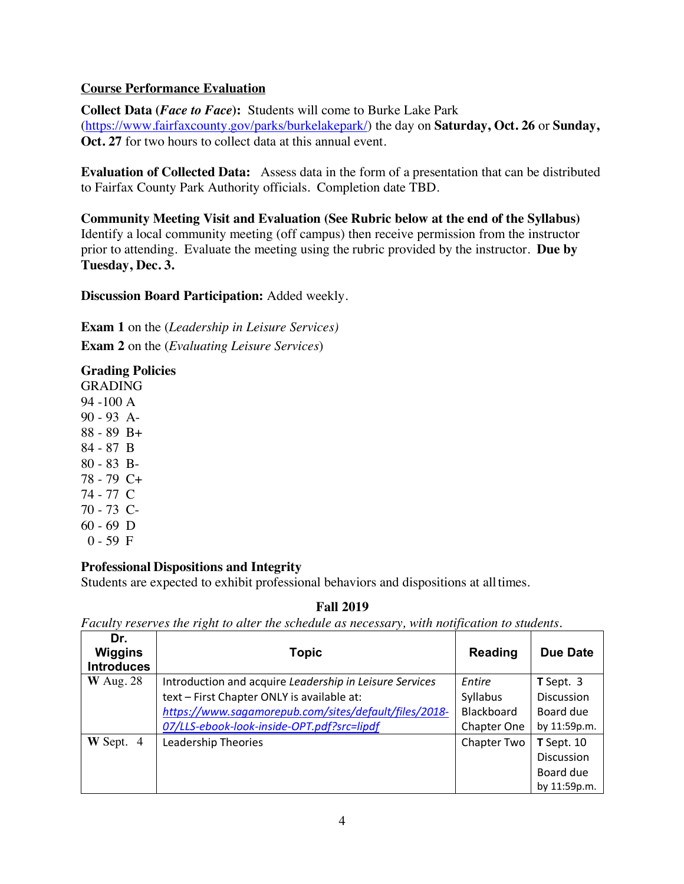## **Course Performance Evaluation**

**Collect Data (***Face to Face***):** Students will come to Burke Lake Park (https://www.fairfaxcounty.gov/parks/burkelakepark/) the day on **Saturday, Oct. 26** or **Sunday, Oct. 27** for two hours to collect data at this annual event.

**Evaluation of Collected Data:** Assess data in the form of a presentation that can be distributed to Fairfax County Park Authority officials. Completion date TBD.

**Community Meeting Visit and Evaluation (See Rubric below at the end of the Syllabus)** Identify a local community meeting (off campus) then receive permission from the instructor prior to attending. Evaluate the meeting using the rubric provided by the instructor. **Due by Tuesday, Dec. 3.**

**Discussion Board Participation:** Added weekly.

**Exam 1** on the (*Leadership in Leisure Services)* **Exam 2** on the (*Evaluating Leisure Services*)

## **Grading Policies**

GRADING 94 -100 A 90 - 93 A-88 - 89 B+ 84 - 87 B 80 - 83 B-78 - 79 C+ 74 - 77 C 70 - 73 C- $60 - 69$  D  $0 - 59$  F

#### **Professional Dispositions and Integrity**

Students are expected to exhibit professional behaviors and dispositions at alltimes.

#### **Fall 2019**

*Faculty reserves the right to alter the schedule as necessary, with notification to students.*

| Dr.<br>Wiggins<br><b>Introduces</b> | <b>Topic</b>                                            | <b>Reading</b> | <b>Due Date</b>   |
|-------------------------------------|---------------------------------------------------------|----------------|-------------------|
| $W$ Aug. 28                         | Introduction and acquire Leadership in Leisure Services | Entire         | $T$ Sept. 3       |
|                                     | text - First Chapter ONLY is available at:              | Syllabus       | <b>Discussion</b> |
|                                     | https://www.sagamorepub.com/sites/default/files/2018-   | Blackboard     | Board due         |
|                                     | 07/LLS-ebook-look-inside-OPT.pdf?src=lipdf              | Chapter One    | by 11:59p.m.      |
| $W$ Sept. 4                         | Leadership Theories                                     | Chapter Two    | $T$ Sept. 10      |
|                                     |                                                         |                | Discussion        |
|                                     |                                                         |                | Board due         |
|                                     |                                                         |                | by 11:59p.m.      |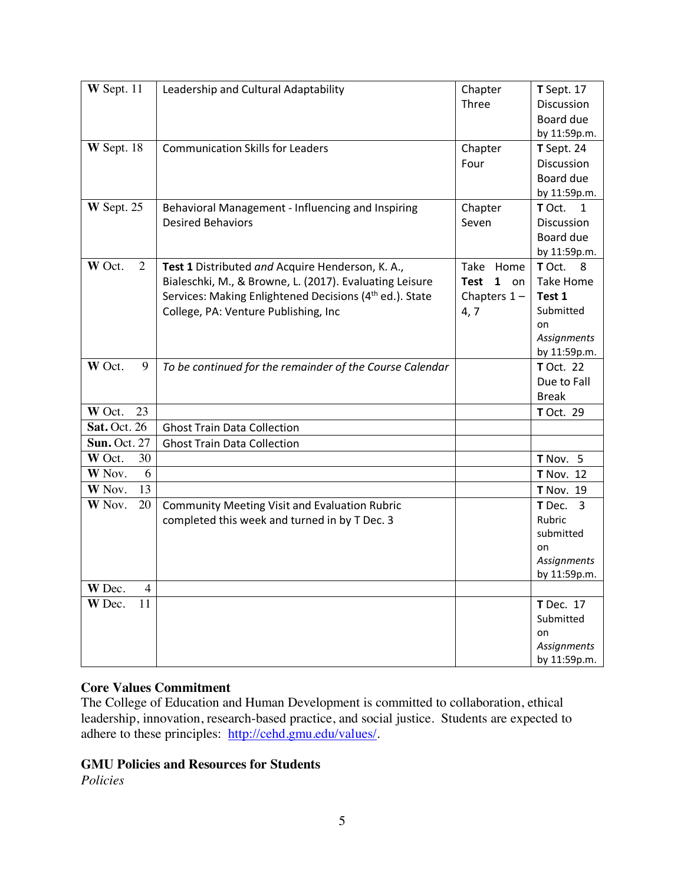| $W$ Sept. 11                       | Leadership and Cultural Adaptability                                | Chapter               | <b>T</b> Sept. 17                |
|------------------------------------|---------------------------------------------------------------------|-----------------------|----------------------------------|
|                                    |                                                                     | Three                 | Discussion                       |
|                                    |                                                                     |                       | Board due                        |
|                                    |                                                                     |                       | by 11:59p.m.                     |
| W Sept. 18                         | <b>Communication Skills for Leaders</b>                             | Chapter               | T Sept. 24                       |
|                                    |                                                                     | Four                  | Discussion                       |
|                                    |                                                                     |                       | Board due                        |
|                                    |                                                                     |                       | by 11:59p.m.                     |
| W Sept. 25                         | Behavioral Management - Influencing and Inspiring                   | Chapter               | T Oct.<br>1                      |
|                                    | <b>Desired Behaviors</b>                                            | Seven                 | Discussion                       |
|                                    |                                                                     |                       | Board due                        |
|                                    |                                                                     |                       | by 11:59p.m.                     |
| W Oct.<br>2                        | Test 1 Distributed and Acquire Henderson, K. A.,                    | Take Home             | T Oct.<br>- 8                    |
|                                    | Bialeschki, M., & Browne, L. (2017). Evaluating Leisure             | <b>Test</b><br>$1$ on | <b>Take Home</b>                 |
|                                    | Services: Making Enlightened Decisions (4 <sup>th</sup> ed.). State | Chapters $1 -$        | Test 1                           |
|                                    | College, PA: Venture Publishing, Inc                                | 4, 7                  | Submitted                        |
|                                    |                                                                     |                       | on                               |
|                                    |                                                                     |                       | Assignments                      |
| W Oct.<br>9                        |                                                                     |                       | by 11:59p.m.<br><b>T</b> Oct. 22 |
|                                    | To be continued for the remainder of the Course Calendar            |                       | Due to Fall                      |
|                                    |                                                                     |                       | <b>Break</b>                     |
| W Oct.<br>23                       |                                                                     |                       | <b>T</b> Oct. 29                 |
| <b>Sat. Oct. 26</b>                | <b>Ghost Train Data Collection</b>                                  |                       |                                  |
| <b>Sun. Oct. 27</b>                | <b>Ghost Train Data Collection</b>                                  |                       |                                  |
| W Oct.<br>30                       |                                                                     |                       | T Nov. 5                         |
| W Nov.<br>6                        |                                                                     |                       | <b>T</b> Nov. 12                 |
| 13<br>W Nov.                       |                                                                     |                       | <b>T</b> Nov. 19                 |
| W Nov.<br>20                       | <b>Community Meeting Visit and Evaluation Rubric</b>                |                       | T Dec.<br>3                      |
|                                    | completed this week and turned in by T Dec. 3                       |                       | Rubric                           |
|                                    |                                                                     |                       | submitted                        |
|                                    |                                                                     |                       | on                               |
|                                    |                                                                     |                       | Assignments                      |
|                                    |                                                                     |                       | by 11:59p.m.                     |
| W Dec.<br>$\overline{\mathcal{A}}$ |                                                                     |                       |                                  |
| W Dec.<br>11                       |                                                                     |                       | <b>T</b> Dec. 17                 |
|                                    |                                                                     |                       | Submitted                        |
|                                    |                                                                     |                       | on                               |
|                                    |                                                                     |                       | Assignments                      |
|                                    |                                                                     |                       | by 11:59p.m.                     |

#### **Core Values Commitment**

The College of Education and Human Development is committed to collaboration, ethical leadership, innovation, research-based practice, and social justice. Students are expected to adhere to these principles: http://cehd.gmu.edu/values/.

#### **GMU Policies and Resources for Students**

*Policies*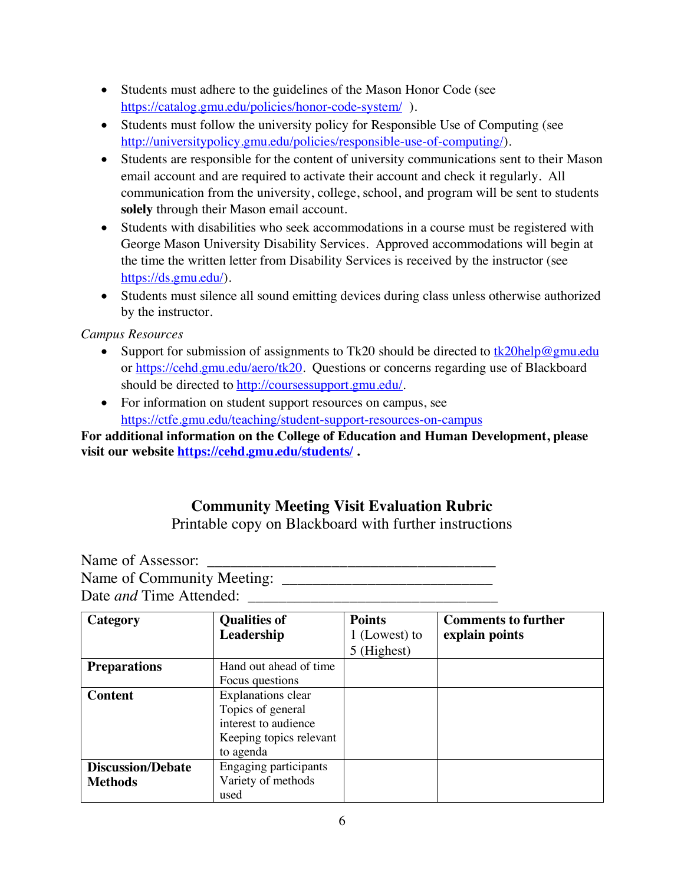- Students must adhere to the guidelines of the Mason Honor Code (see https://catalog.gmu.edu/policies/honor-code-system/).
- Students must follow the university policy for Responsible Use of Computing (see http://universitypolicy.gmu.edu/policies/responsible-use-of-computing/).
- Students are responsible for the content of university communications sent to their Mason email account and are required to activate their account and check it regularly. All communication from the university, college, school, and program will be sent to students **solely** through their Mason email account.
- Students with disabilities who seek accommodations in a course must be registered with George Mason University Disability Services. Approved accommodations will begin at the time the written letter from Disability Services is received by the instructor (see https://ds.gmu.edu/).
- Students must silence all sound emitting devices during class unless otherwise authorized by the instructor.

# *Campus Resources*

- Support for submission of assignments to Tk20 should be directed to tk20help@gmu.edu or https://cehd.gmu.edu/aero/tk20. Questions or concerns regarding use of Blackboard should be directed to http://coursessupport.gmu.edu/.
- For information on student support resources on campus, see https://ctfe.gmu.edu/teaching/student-support-resources-on-campus

**For additional information on the College of Education and Human Development, please visit our website https://cehd.gmu.edu/students/ .**

# **Community Meeting Visit Evaluation Rubric**

Printable copy on Blackboard with further instructions

Name of Assessor: Name of Community Meeting: \_\_\_\_\_\_\_\_\_\_\_\_\_\_\_\_\_\_\_\_\_\_\_\_\_\_\_ Date *and* Time Attended: \_\_\_\_\_\_\_\_\_\_\_\_\_\_\_\_\_\_\_\_\_\_\_\_\_\_\_\_\_\_\_\_

| Category                 | <b>Qualities of</b>          | <b>Points</b> | <b>Comments to further</b> |
|--------------------------|------------------------------|---------------|----------------------------|
|                          | Leadership                   | 1 (Lowest) to | explain points             |
|                          |                              | 5 (Highest)   |                            |
| <b>Preparations</b>      | Hand out ahead of time       |               |                            |
|                          | Focus questions              |               |                            |
| <b>Content</b>           | <b>Explanations clear</b>    |               |                            |
|                          | Topics of general            |               |                            |
|                          | interest to audience         |               |                            |
|                          | Keeping topics relevant      |               |                            |
|                          | to agenda                    |               |                            |
| <b>Discussion/Debate</b> | <b>Engaging participants</b> |               |                            |
| <b>Methods</b>           | Variety of methods           |               |                            |
|                          | used                         |               |                            |